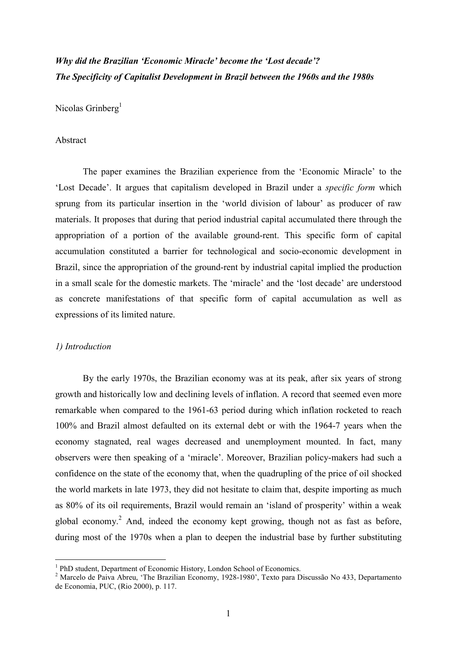# *Why did the Brazilian 'Economic Miracle' become the 'Lost decade'? The Specificity of Capitalist Development in Brazil between the 1960s and the 1980s*

Nicolas Grinberg<sup>1</sup>

### Abstract

The paper examines the Brazilian experience from the 'Economic Miracle' to the 'Lost Decade'. It argues that capitalism developed in Brazil under a *specific form* which sprung from its particular insertion in the 'world division of labour' as producer of raw materials. It proposes that during that period industrial capital accumulated there through the appropriation of a portion of the available ground-rent. This specific form of capital accumulation constituted a barrier for technological and socio-economic development in Brazil, since the appropriation of the ground-rent by industrial capital implied the production in a small scale for the domestic markets. The 'miracle' and the 'lost decade' are understood as concrete manifestations of that specific form of capital accumulation as well as expressions of its limited nature.

#### *1) Introduction*

By the early 1970s, the Brazilian economy was at its peak, after six years of strong growth and historically low and declining levels of inflation. A record that seemed even more remarkable when compared to the 1961-63 period during which inflation rocketed to reach 100% and Brazil almost defaulted on its external debt or with the 1964-7 years when the economy stagnated, real wages decreased and unemployment mounted. In fact, many observers were then speaking of a 'miracle'. Moreover, Brazilian policy-makers had such a confidence on the state of the economy that, when the quadrupling of the price of oil shocked the world markets in late 1973, they did not hesitate to claim that, despite importing as much as 80% of its oil requirements, Brazil would remain an 'island of prosperity' within a weak global economy.<sup>2</sup> And, indeed the economy kept growing, though not as fast as before, during most of the 1970s when a plan to deepen the industrial base by further substituting

<sup>&</sup>lt;sup>1</sup> PhD student, Department of Economic History, London School of Economics.

<sup>&</sup>lt;sup>2</sup> Marcelo de Paiva Abreu, 'The Brazilian Economy, 1928-1980', Texto para Discussão No 433, Departamento de Economia, PUC, (Rio 2000), p. 117.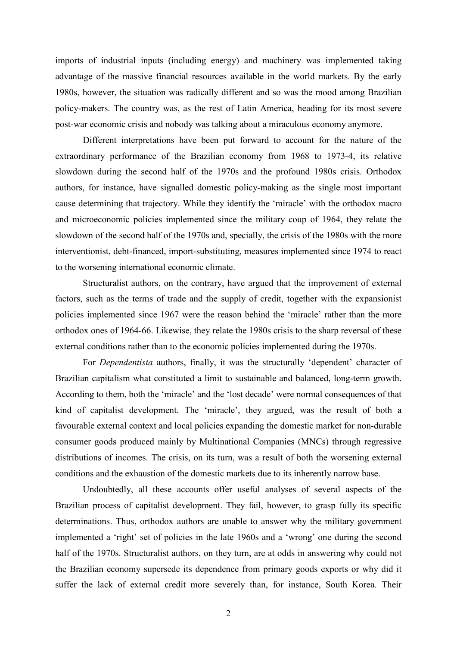imports of industrial inputs (including energy) and machinery was implemented taking advantage of the massive financial resources available in the world markets. By the early 1980s, however, the situation was radically different and so was the mood among Brazilian policy-makers. The country was, as the rest of Latin America, heading for its most severe post-war economic crisis and nobody was talking about a miraculous economy anymore.

 Different interpretations have been put forward to account for the nature of the extraordinary performance of the Brazilian economy from 1968 to 1973-4, its relative slowdown during the second half of the 1970s and the profound 1980s crisis. Orthodox authors, for instance, have signalled domestic policy-making as the single most important cause determining that trajectory. While they identify the 'miracle' with the orthodox macro and microeconomic policies implemented since the military coup of 1964, they relate the slowdown of the second half of the 1970s and, specially, the crisis of the 1980s with the more interventionist, debt-financed, import-substituting, measures implemented since 1974 to react to the worsening international economic climate.

 Structuralist authors, on the contrary, have argued that the improvement of external factors, such as the terms of trade and the supply of credit, together with the expansionist policies implemented since 1967 were the reason behind the 'miracle' rather than the more orthodox ones of 1964-66. Likewise, they relate the 1980s crisis to the sharp reversal of these external conditions rather than to the economic policies implemented during the 1970s.

 For *Dependentista* authors, finally, it was the structurally 'dependent' character of Brazilian capitalism what constituted a limit to sustainable and balanced, long-term growth. According to them, both the 'miracle' and the 'lost decade' were normal consequences of that kind of capitalist development. The 'miracle', they argued, was the result of both a favourable external context and local policies expanding the domestic market for non-durable consumer goods produced mainly by Multinational Companies (MNCs) through regressive distributions of incomes. The crisis, on its turn, was a result of both the worsening external conditions and the exhaustion of the domestic markets due to its inherently narrow base.

 Undoubtedly, all these accounts offer useful analyses of several aspects of the Brazilian process of capitalist development. They fail, however, to grasp fully its specific determinations. Thus, orthodox authors are unable to answer why the military government implemented a 'right' set of policies in the late 1960s and a 'wrong' one during the second half of the 1970s. Structuralist authors, on they turn, are at odds in answering why could not the Brazilian economy supersede its dependence from primary goods exports or why did it suffer the lack of external credit more severely than, for instance, South Korea. Their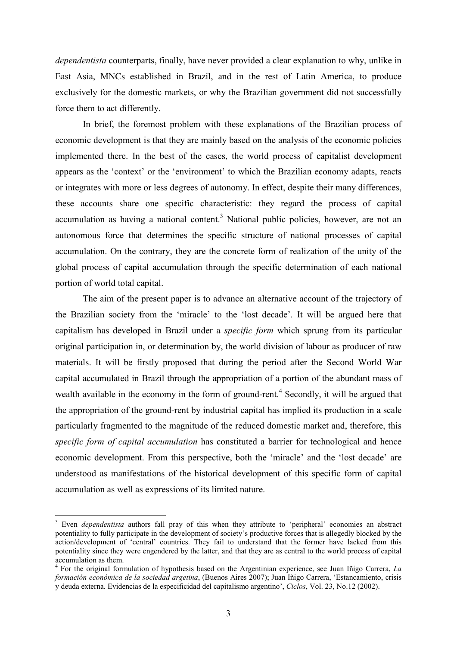*dependentista* counterparts, finally, have never provided a clear explanation to why, unlike in East Asia, MNCs established in Brazil, and in the rest of Latin America, to produce exclusively for the domestic markets, or why the Brazilian government did not successfully force them to act differently.

 In brief, the foremost problem with these explanations of the Brazilian process of economic development is that they are mainly based on the analysis of the economic policies implemented there. In the best of the cases, the world process of capitalist development appears as the 'context' or the 'environment' to which the Brazilian economy adapts, reacts or integrates with more or less degrees of autonomy. In effect, despite their many differences, these accounts share one specific characteristic: they regard the process of capital accumulation as having a national content.<sup>3</sup> National public policies, however, are not an autonomous force that determines the specific structure of national processes of capital accumulation. On the contrary, they are the concrete form of realization of the unity of the global process of capital accumulation through the specific determination of each national portion of world total capital.

The aim of the present paper is to advance an alternative account of the trajectory of the Brazilian society from the 'miracle' to the 'lost decade'. It will be argued here that capitalism has developed in Brazil under a *specific form* which sprung from its particular original participation in, or determination by, the world division of labour as producer of raw materials. It will be firstly proposed that during the period after the Second World War capital accumulated in Brazil through the appropriation of a portion of the abundant mass of wealth available in the economy in the form of ground-rent.<sup>4</sup> Secondly, it will be argued that the appropriation of the ground-rent by industrial capital has implied its production in a scale particularly fragmented to the magnitude of the reduced domestic market and, therefore, this *specific form of capital accumulation* has constituted a barrier for technological and hence economic development. From this perspective, both the 'miracle' and the 'lost decade' are understood as manifestations of the historical development of this specific form of capital accumulation as well as expressions of its limited nature.

<sup>&</sup>lt;sup>3</sup> Even *dependentista* authors fall pray of this when they attribute to 'peripheral' economies an abstract potentiality to fully participate in the development of society's productive forces that is allegedly blocked by the action/development of 'central' countries. They fail to understand that the former have lacked from this potentiality since they were engendered by the latter, and that they are as central to the world process of capital accumulation as them.

<sup>4</sup> For the original formulation of hypothesis based on the Argentinian experience, see Juan Iñigo Carrera, *La formación económica de la sociedad argetina*, (Buenos Aires 2007); Juan Iñigo Carrera, 'Estancamiento, crisis y deuda externa. Evidencias de la especificidad del capitalismo argentino', *Ciclos*, Vol. 23, No.12 (2002).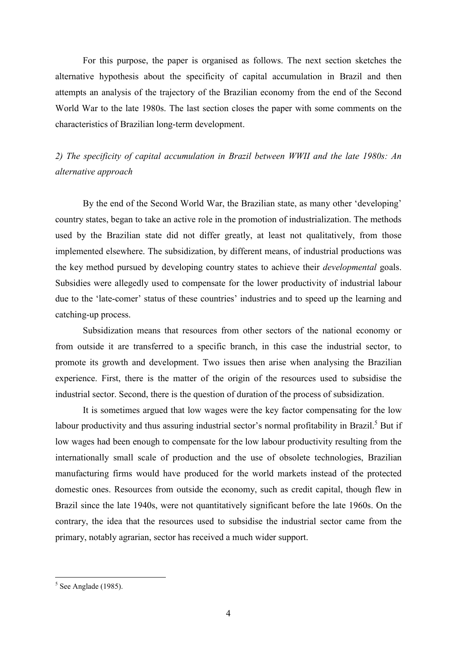For this purpose, the paper is organised as follows. The next section sketches the alternative hypothesis about the specificity of capital accumulation in Brazil and then attempts an analysis of the trajectory of the Brazilian economy from the end of the Second World War to the late 1980s. The last section closes the paper with some comments on the characteristics of Brazilian long-term development.

# *2) The specificity of capital accumulation in Brazil between WWII and the late 1980s: An alternative approach*

By the end of the Second World War, the Brazilian state, as many other 'developing' country states, began to take an active role in the promotion of industrialization. The methods used by the Brazilian state did not differ greatly, at least not qualitatively, from those implemented elsewhere. The subsidization, by different means, of industrial productions was the key method pursued by developing country states to achieve their *developmental* goals. Subsidies were allegedly used to compensate for the lower productivity of industrial labour due to the 'late-comer' status of these countries' industries and to speed up the learning and catching-up process.

Subsidization means that resources from other sectors of the national economy or from outside it are transferred to a specific branch, in this case the industrial sector, to promote its growth and development. Two issues then arise when analysing the Brazilian experience. First, there is the matter of the origin of the resources used to subsidise the industrial sector. Second, there is the question of duration of the process of subsidization.

 It is sometimes argued that low wages were the key factor compensating for the low labour productivity and thus assuring industrial sector's normal profitability in Brazil.<sup>5</sup> But if low wages had been enough to compensate for the low labour productivity resulting from the internationally small scale of production and the use of obsolete technologies, Brazilian manufacturing firms would have produced for the world markets instead of the protected domestic ones. Resources from outside the economy, such as credit capital, though flew in Brazil since the late 1940s, were not quantitatively significant before the late 1960s. On the contrary, the idea that the resources used to subsidise the industrial sector came from the primary, notably agrarian, sector has received a much wider support.

 $5$  See Anglade (1985).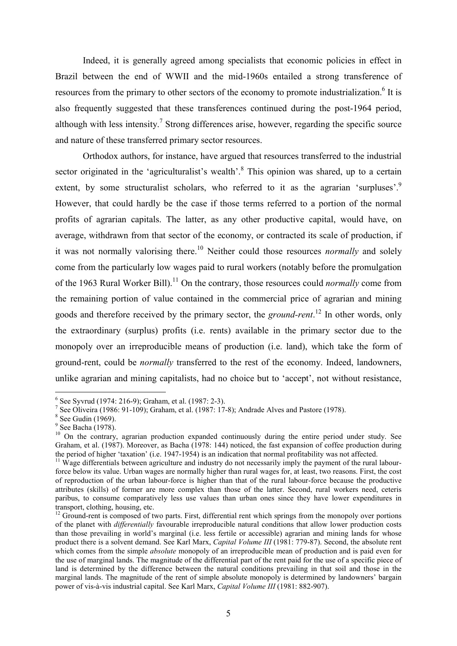Indeed, it is generally agreed among specialists that economic policies in effect in Brazil between the end of WWII and the mid-1960s entailed a strong transference of resources from the primary to other sectors of the economy to promote industrialization.<sup>6</sup> It is also frequently suggested that these transferences continued during the post-1964 period, although with less intensity.<sup>7</sup> Strong differences arise, however, regarding the specific source and nature of these transferred primary sector resources.

 Orthodox authors, for instance, have argued that resources transferred to the industrial sector originated in the 'agriculturalist's wealth'.<sup>8</sup> This opinion was shared, up to a certain extent, by some structuralist scholars, who referred to it as the agrarian 'surpluses'.<sup>9</sup> However, that could hardly be the case if those terms referred to a portion of the normal profits of agrarian capitals. The latter, as any other productive capital, would have, on average, withdrawn from that sector of the economy, or contracted its scale of production, if it was not normally valorising there.<sup>10</sup> Neither could those resources *normally* and solely come from the particularly low wages paid to rural workers (notably before the promulgation of the 1963 Rural Worker Bill).<sup>11</sup> On the contrary, those resources could *normally* come from the remaining portion of value contained in the commercial price of agrarian and mining goods and therefore received by the primary sector, the *ground-rent*. <sup>12</sup> In other words, only the extraordinary (surplus) profits (i.e. rents) available in the primary sector due to the monopoly over an irreproducible means of production (i.e. land), which take the form of ground-rent, could be *normally* transferred to the rest of the economy. Indeed, landowners, unlike agrarian and mining capitalists, had no choice but to 'accept', not without resistance,

<sup>&</sup>lt;sup>6</sup> See Syvrud (1974: 216-9); Graham, et al. (1987: 2-3).

<sup>&</sup>lt;sup>7</sup> See Oliveira (1986: 91-109); Graham, et al. (1987: 17-8); Andrade Alves and Pastore (1978).

<sup>8</sup> See Gudin (1969).

<sup>&</sup>lt;sup>9</sup> See Bacha (1978).

<sup>&</sup>lt;sup>10</sup> On the contrary, agrarian production expanded continuously during the entire period under study. See Graham, et al. (1987). Moreover, as Bacha (1978: 144) noticed, the fast expansion of coffee production during the period of higher 'taxation' (i.e. 1947-1954) is an indication that normal profitability was not affected.

 $11$  Wage differentials between agriculture and industry do not necessarily imply the payment of the rural labourforce below its value. Urban wages are normally higher than rural wages for, at least, two reasons. First, the cost of reproduction of the urban labour-force is higher than that of the rural labour-force because the productive attributes (skills) of former are more complex than those of the latter. Second, rural workers need, ceteris paribus, to consume comparatively less use values than urban ones since they have lower expenditures in transport, clothing, housing, etc.

<sup>&</sup>lt;sup>12</sup> Ground-rent is composed of two parts. First, differential rent which springs from the monopoly over portions of the planet with *differentially* favourable irreproducible natural conditions that allow lower production costs than those prevailing in world's marginal (i.e. less fertile or accessible) agrarian and mining lands for whose product there is a solvent demand. See Karl Marx, *Capital Volume III* (1981: 779-87). Second, the absolute rent which comes from the simple *absolute* monopoly of an irreproducible mean of production and is paid even for the use of marginal lands. The magnitude of the differential part of the rent paid for the use of a specific piece of land is determined by the difference between the natural conditions prevailing in that soil and those in the marginal lands. The magnitude of the rent of simple absolute monopoly is determined by landowners' bargain power of vis-à-vis industrial capital. See Karl Marx, *Capital Volume III* (1981: 882-907).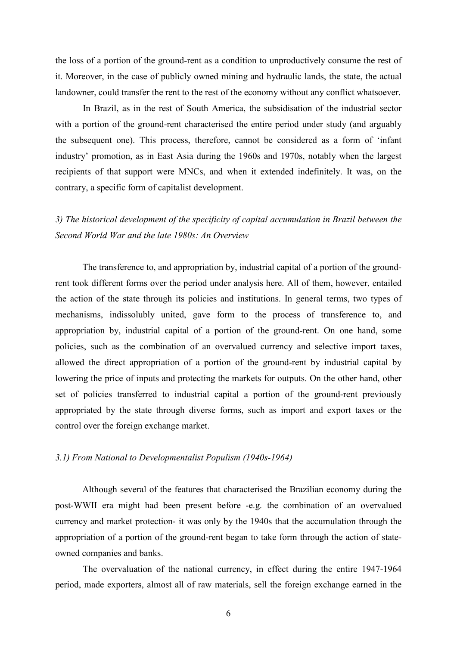the loss of a portion of the ground-rent as a condition to unproductively consume the rest of it. Moreover, in the case of publicly owned mining and hydraulic lands, the state, the actual landowner, could transfer the rent to the rest of the economy without any conflict whatsoever.

In Brazil, as in the rest of South America, the subsidisation of the industrial sector with a portion of the ground-rent characterised the entire period under study (and arguably the subsequent one). This process, therefore, cannot be considered as a form of 'infant industry' promotion, as in East Asia during the 1960s and 1970s, notably when the largest recipients of that support were MNCs, and when it extended indefinitely. It was, on the contrary, a specific form of capitalist development.

*3) The historical development of the specificity of capital accumulation in Brazil between the Second World War and the late 1980s: An Overview* 

The transference to, and appropriation by, industrial capital of a portion of the groundrent took different forms over the period under analysis here. All of them, however, entailed the action of the state through its policies and institutions. In general terms, two types of mechanisms, indissolubly united, gave form to the process of transference to, and appropriation by, industrial capital of a portion of the ground-rent. On one hand, some policies, such as the combination of an overvalued currency and selective import taxes, allowed the direct appropriation of a portion of the ground-rent by industrial capital by lowering the price of inputs and protecting the markets for outputs. On the other hand, other set of policies transferred to industrial capital a portion of the ground-rent previously appropriated by the state through diverse forms, such as import and export taxes or the control over the foreign exchange market.

# *3.1) From National to Developmentalist Populism (1940s-1964)*

Although several of the features that characterised the Brazilian economy during the post-WWII era might had been present before -e.g. the combination of an overvalued currency and market protection- it was only by the 1940s that the accumulation through the appropriation of a portion of the ground-rent began to take form through the action of stateowned companies and banks.

 The overvaluation of the national currency, in effect during the entire 1947-1964 period, made exporters, almost all of raw materials, sell the foreign exchange earned in the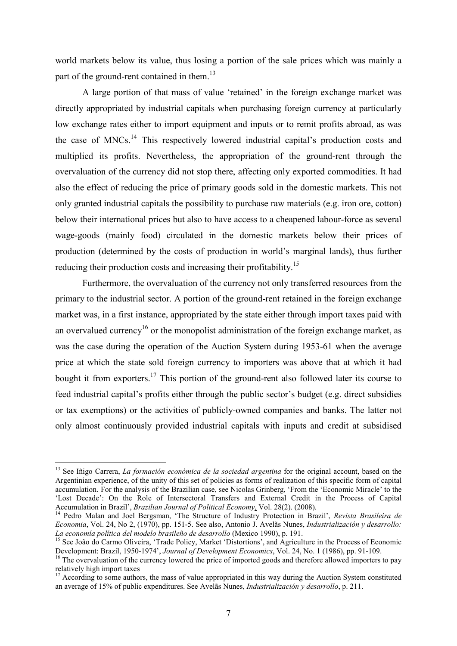world markets below its value, thus losing a portion of the sale prices which was mainly a part of the ground-rent contained in them.<sup>13</sup>

A large portion of that mass of value 'retained' in the foreign exchange market was directly appropriated by industrial capitals when purchasing foreign currency at particularly low exchange rates either to import equipment and inputs or to remit profits abroad, as was the case of MNCs.<sup>14</sup> This respectively lowered industrial capital's production costs and multiplied its profits. Nevertheless, the appropriation of the ground-rent through the overvaluation of the currency did not stop there, affecting only exported commodities. It had also the effect of reducing the price of primary goods sold in the domestic markets. This not only granted industrial capitals the possibility to purchase raw materials (e.g. iron ore, cotton) below their international prices but also to have access to a cheapened labour-force as several wage-goods (mainly food) circulated in the domestic markets below their prices of production (determined by the costs of production in world's marginal lands), thus further reducing their production costs and increasing their profitability.<sup>15</sup>

Furthermore, the overvaluation of the currency not only transferred resources from the primary to the industrial sector. A portion of the ground-rent retained in the foreign exchange market was, in a first instance, appropriated by the state either through import taxes paid with an overvalued currency<sup>16</sup> or the monopolist administration of the foreign exchange market, as was the case during the operation of the Auction System during 1953-61 when the average price at which the state sold foreign currency to importers was above that at which it had bought it from exporters.<sup>17</sup> This portion of the ground-rent also followed later its course to feed industrial capital's profits either through the public sector's budget (e.g. direct subsidies or tax exemptions) or the activities of publicly-owned companies and banks. The latter not only almost continuously provided industrial capitals with inputs and credit at subsidised

<sup>&</sup>lt;sup>13</sup> See Iñigo Carrera, *La formación económica de la sociedad argentina* for the original account, based on the Argentinian experience, of the unity of this set of policies as forms of realization of this specific form of capital accumulation. For the analysis of the Brazilian case, see Nicolas Grinberg, 'From the 'Economic Miracle' to the 'Lost Decade': On the Role of Intersectoral Transfers and External Credit in the Process of Capital Accumulation in Brazil', *Brazilian Journal of Political Economy*, Vol. 28(2). (2008).

<sup>14</sup> Pedro Malan and Joel Bergsman, 'The Structure of Industry Protection in Brazil', *Revista Brasileira de Economia*, Vol. 24, No 2, (1970), pp. 151-5. See also, Antonio J. Avelãs Nunes, *Industrialización y desarrollo: La economía política del modelo brasileño de desarrollo* (Mexico 1990), p. 191.

<sup>&</sup>lt;sup>15</sup> See João do Carmo Oliveira, 'Trade Policy, Market 'Distortions', and Agriculture in the Process of Economic Development: Brazil, 1950-1974', *Journal of Development Economics*, Vol. 24, No. 1 (1986), pp. 91-109.

<sup>&</sup>lt;sup>16</sup> The overvaluation of the currency lowered the price of imported goods and therefore allowed importers to pay relatively high import taxes

 $17$  According to some authors, the mass of value appropriated in this way during the Auction System constituted an average of 15% of public expenditures. See Avelãs Nunes, *Industrialización y desarrollo*, p. 211.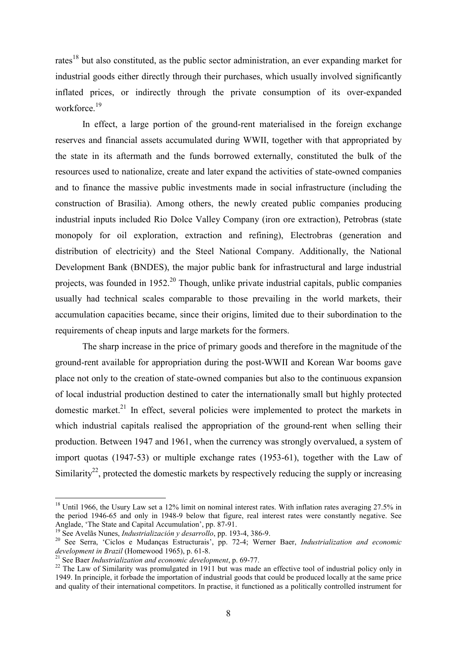rates<sup>18</sup> but also constituted, as the public sector administration, an ever expanding market for industrial goods either directly through their purchases, which usually involved significantly inflated prices, or indirectly through the private consumption of its over-expanded workforce<sup>19</sup>

In effect, a large portion of the ground-rent materialised in the foreign exchange reserves and financial assets accumulated during WWII, together with that appropriated by the state in its aftermath and the funds borrowed externally, constituted the bulk of the resources used to nationalize, create and later expand the activities of state-owned companies and to finance the massive public investments made in social infrastructure (including the construction of Brasilia). Among others, the newly created public companies producing industrial inputs included Rio Dolce Valley Company (iron ore extraction), Petrobras (state monopoly for oil exploration, extraction and refining), Electrobras (generation and distribution of electricity) and the Steel National Company. Additionally, the National Development Bank (BNDES), the major public bank for infrastructural and large industrial projects, was founded in  $1952<sup>20</sup>$  Though, unlike private industrial capitals, public companies usually had technical scales comparable to those prevailing in the world markets, their accumulation capacities became, since their origins, limited due to their subordination to the requirements of cheap inputs and large markets for the formers.

The sharp increase in the price of primary goods and therefore in the magnitude of the ground-rent available for appropriation during the post-WWII and Korean War booms gave place not only to the creation of state-owned companies but also to the continuous expansion of local industrial production destined to cater the internationally small but highly protected domestic market.<sup>21</sup> In effect, several policies were implemented to protect the markets in which industrial capitals realised the appropriation of the ground-rent when selling their production. Between 1947 and 1961, when the currency was strongly overvalued, a system of import quotas (1947-53) or multiple exchange rates (1953-61), together with the Law of Similarity<sup>22</sup>, protected the domestic markets by respectively reducing the supply or increasing

<sup>&</sup>lt;sup>18</sup> Until 1966, the Usury Law set a 12% limit on nominal interest rates. With inflation rates averaging 27.5% in the period 1946-65 and only in 1948-9 below that figure, real interest rates were constantly negative. See Anglade, 'The State and Capital Accumulation', pp. 87-91.

<sup>19</sup> See Avelãs Nunes, *Industrialización y desarrollo*, pp. 193-4, 386-9.

<sup>20</sup> See Serra, 'Ciclos e Mudanças Estructurais', pp. 72-4; Werner Baer, *Industrialization and economic development in Brazil* (Homewood 1965), p. 61-8.

<sup>21</sup> See Baer *Industrialization and economic development*, p. 69-77.

<sup>&</sup>lt;sup>22</sup> The Law of Similarity was promulgated in 1911 but was made an effective tool of industrial policy only in 1949. In principle, it forbade the importation of industrial goods that could be produced locally at the same price and quality of their international competitors. In practise, it functioned as a politically controlled instrument for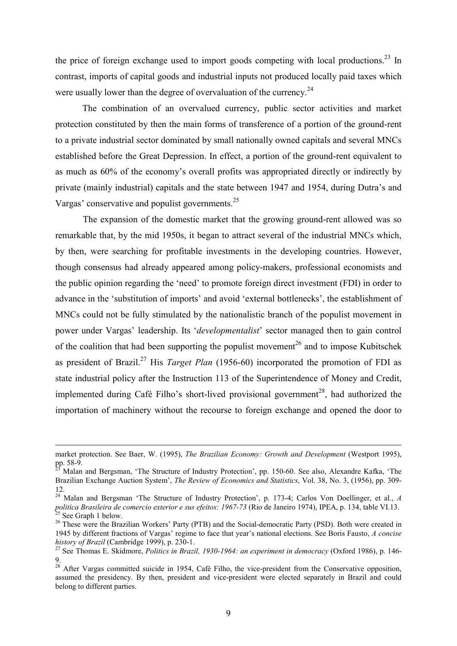the price of foreign exchange used to import goods competing with local productions.<sup>23</sup> In contrast, imports of capital goods and industrial inputs not produced locally paid taxes which were usually lower than the degree of overvaluation of the currency.<sup>24</sup>

The combination of an overvalued currency, public sector activities and market protection constituted by then the main forms of transference of a portion of the ground-rent to a private industrial sector dominated by small nationally owned capitals and several MNCs established before the Great Depression. In effect, a portion of the ground-rent equivalent to as much as 60% of the economy's overall profits was appropriated directly or indirectly by private (mainly industrial) capitals and the state between 1947 and 1954, during Dutra's and Vargas' conservative and populist governments.<sup>25</sup>

 The expansion of the domestic market that the growing ground-rent allowed was so remarkable that, by the mid 1950s, it began to attract several of the industrial MNCs which, by then, were searching for profitable investments in the developing countries. However, though consensus had already appeared among policy-makers, professional economists and the public opinion regarding the 'need' to promote foreign direct investment (FDI) in order to advance in the 'substitution of imports' and avoid 'external bottlenecks', the establishment of MNCs could not be fully stimulated by the nationalistic branch of the populist movement in power under Vargas' leadership. Its '*developmentalist*' sector managed then to gain control of the coalition that had been supporting the populist movement<sup>26</sup> and to impose Kubitschek as president of Brazil.<sup>27</sup> His *Target Plan* (1956-60) incorporated the promotion of FDI as state industrial policy after the Instruction 113 of the Superintendence of Money and Credit, implemented during Café Filho's short-lived provisional government<sup>28</sup>, had authorized the importation of machinery without the recourse to foreign exchange and opened the door to

1

market protection. See Baer, W. (1995), *The Brazilian Economy: Growth and Development* (Westport 1995), pp. 58-9.

<sup>23</sup> Malan and Bergsman, 'The Structure of Industry Protection', pp. 150-60. See also, Alexandre Kafka, 'The Brazilian Exchange Auction System', *The Review of Economics and Statistics*, Vol. 38, No. 3, (1956), pp. 309- 12.

<sup>24</sup> Malan and Bergsman 'The Structure of Industry Protection', p. 173-4; Carlos Von Doellinger, et al., *A politica Brasileira de comercio exterior e sus efeitos: 1967-73* (Rio de Janeiro 1974), IPEA, p. 134, table VI.13.  $^{25}$  See Graph 1 below.

<sup>&</sup>lt;sup>26</sup> These were the Brazilian Workers' Party (PTB) and the Social-democratic Party (PSD). Both were created in 1945 by different fractions of Vargas' regime to face that year's national elections. See Boris Fausto, *A concise history of Brazil* (Cambridge 1999), p. 230-1.

<sup>27</sup> See Thomas E. Skidmore, *Politics in Brazil, 1930-1964: an experiment in democracy* (Oxford 1986), p. 146- 9.

<sup>&</sup>lt;sup>28</sup> After Vargas committed suicide in 1954, Café Filho, the vice-president from the Conservative opposition, assumed the presidency. By then, president and vice-president were elected separately in Brazil and could belong to different parties.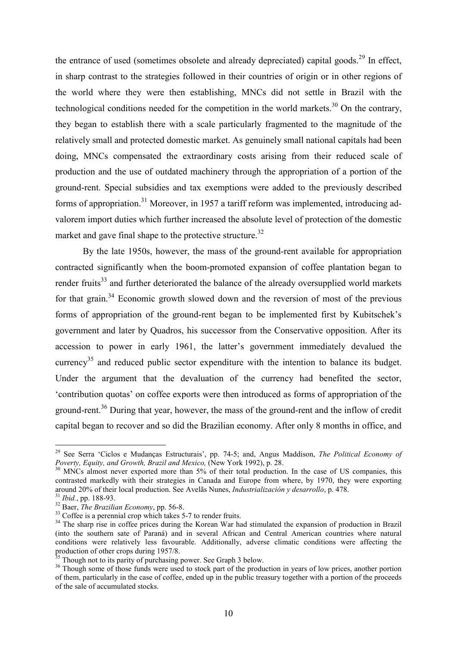the entrance of used (sometimes obsolete and already depreciated) capital goods.<sup>29</sup> In effect, in sharp contrast to the strategies followed in their countries of origin or in other regions of the world where they were then establishing, MNCs did not settle in Brazil with the technological conditions needed for the competition in the world markets.<sup>30</sup> On the contrary, they began to establish there with a scale particularly fragmented to the magnitude of the relatively small and protected domestic market. As genuinely small national capitals had been doing, MNCs compensated the extraordinary costs arising from their reduced scale of production and the use of outdated machinery through the appropriation of a portion of the ground-rent. Special subsidies and tax exemptions were added to the previously described forms of appropriation.<sup>31</sup> Moreover, in 1957 a tariff reform was implemented, introducing advalorem import duties which further increased the absolute level of protection of the domestic market and gave final shape to the protective structure.<sup>32</sup>

By the late 1950s, however, the mass of the ground-rent available for appropriation contracted significantly when the boom-promoted expansion of coffee plantation began to render fruits<sup>33</sup> and further deteriorated the balance of the already oversupplied world markets for that grain.<sup>34</sup> Economic growth slowed down and the reversion of most of the previous forms of appropriation of the ground-rent began to be implemented first by Kubitschek's government and later by Quadros, his successor from the Conservative opposition. After its accession to power in early 1961, the latter's government immediately devalued the currency<sup>35</sup> and reduced public sector expenditure with the intention to balance its budget. Under the argument that the devaluation of the currency had benefited the sector, 'contribution quotas' on coffee exports were then introduced as forms of appropriation of the ground-rent.<sup>36</sup> During that year, however, the mass of the ground-rent and the inflow of credit capital began to recover and so did the Brazilian economy. After only 8 months in office, and

1

<sup>29</sup> See Serra 'Ciclos e Mudanças Estructurais', pp. 74-5; and, Angus Maddison, *The Political Economy of Poverty, Equity, and Growth, Brazil and Mexico,* (New York 1992), p. 28.

<sup>&</sup>lt;sup>30</sup> MNCs almost never exported more than 5% of their total production. In the case of US companies, this contrasted markedly with their strategies in Canada and Europe from where, by 1970, they were exporting around 20% of their local production. See Avelãs Nunes, *Industrialización y desarrollo*, p. 478.

<sup>31</sup> *Ibid.*, pp. 188-93.

<sup>32</sup> Baer, *The Brazilian Economy*, pp. 56-8.

<sup>&</sup>lt;sup>33</sup> Coffee is a perennial crop which takes 5-7 to render fruits.

<sup>&</sup>lt;sup>34</sup> The sharp rise in coffee prices during the Korean War had stimulated the expansion of production in Brazil (into the southern sate of Paraná) and in several African and Central American countries where natural conditions were relatively less favourable. Additionally, adverse climatic conditions were affecting the production of other crops during 1957/8.

 $\frac{1}{35}$  Though not to its parity of purchasing power. See Graph 3 below.

<sup>&</sup>lt;sup>36</sup> Though some of those funds were used to stock part of the production in years of low prices, another portion of them, particularly in the case of coffee, ended up in the public treasury together with a portion of the proceeds of the sale of accumulated stocks.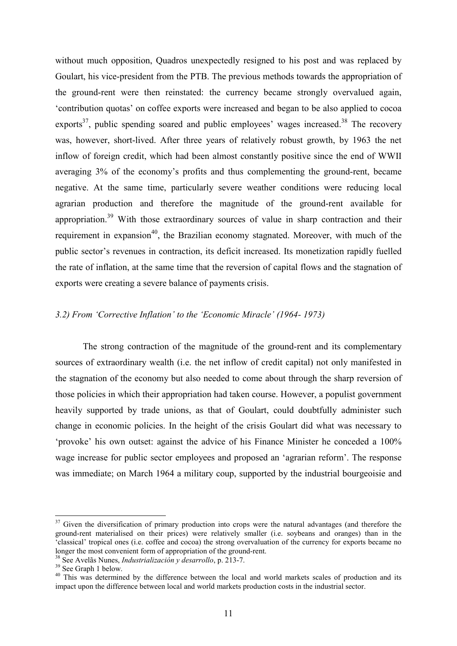without much opposition, Quadros unexpectedly resigned to his post and was replaced by Goulart, his vice-president from the PTB. The previous methods towards the appropriation of the ground-rent were then reinstated: the currency became strongly overvalued again, 'contribution quotas' on coffee exports were increased and began to be also applied to cocoa exports<sup>37</sup>, public spending soared and public employees' wages increased.<sup>38</sup> The recovery was, however, short-lived. After three years of relatively robust growth, by 1963 the net inflow of foreign credit, which had been almost constantly positive since the end of WWII averaging 3% of the economy's profits and thus complementing the ground-rent, became negative. At the same time, particularly severe weather conditions were reducing local agrarian production and therefore the magnitude of the ground-rent available for appropriation.<sup>39</sup> With those extraordinary sources of value in sharp contraction and their requirement in expansion<sup>40</sup>, the Brazilian economy stagnated. Moreover, with much of the public sector's revenues in contraction, its deficit increased. Its monetization rapidly fuelled the rate of inflation, at the same time that the reversion of capital flows and the stagnation of exports were creating a severe balance of payments crisis.

# *3.2) From 'Corrective Inflation' to the 'Economic Miracle' (1964- 1973)*

 The strong contraction of the magnitude of the ground-rent and its complementary sources of extraordinary wealth (i.e. the net inflow of credit capital) not only manifested in the stagnation of the economy but also needed to come about through the sharp reversion of those policies in which their appropriation had taken course. However, a populist government heavily supported by trade unions, as that of Goulart, could doubtfully administer such change in economic policies. In the height of the crisis Goulart did what was necessary to 'provoke' his own outset: against the advice of his Finance Minister he conceded a 100% wage increase for public sector employees and proposed an 'agrarian reform'. The response was immediate; on March 1964 a military coup, supported by the industrial bourgeoisie and

<sup>&</sup>lt;sup>37</sup> Given the diversification of primary production into crops were the natural advantages (and therefore the ground-rent materialised on their prices) were relatively smaller (i.e. soybeans and oranges) than in the 'classical' tropical ones (i.e. coffee and cocoa) the strong overvaluation of the currency for exports became no longer the most convenient form of appropriation of the ground-rent.

<sup>38</sup> See Avelãs Nunes, *Industrialización y desarrollo*, p. 213-7.

<sup>&</sup>lt;sup>39</sup> See Graph 1 below.

<sup>&</sup>lt;sup>40</sup> This was determined by the difference between the local and world markets scales of production and its impact upon the difference between local and world markets production costs in the industrial sector.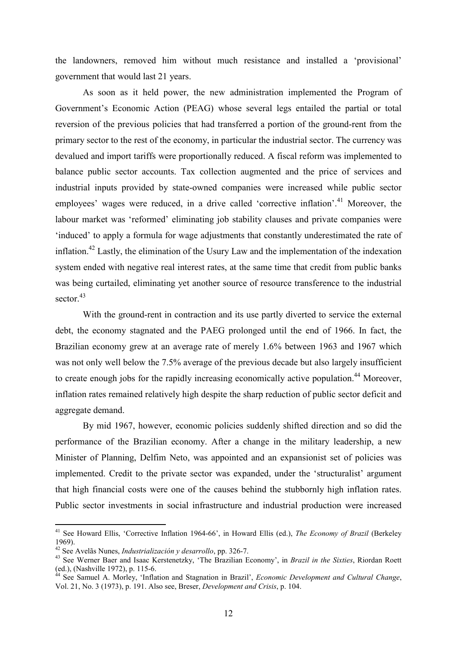the landowners, removed him without much resistance and installed a 'provisional' government that would last 21 years.

 As soon as it held power, the new administration implemented the Program of Government's Economic Action (PEAG) whose several legs entailed the partial or total reversion of the previous policies that had transferred a portion of the ground-rent from the primary sector to the rest of the economy, in particular the industrial sector. The currency was devalued and import tariffs were proportionally reduced. A fiscal reform was implemented to balance public sector accounts. Tax collection augmented and the price of services and industrial inputs provided by state-owned companies were increased while public sector employees' wages were reduced, in a drive called 'corrective inflation'.<sup>41</sup> Moreover, the labour market was 'reformed' eliminating job stability clauses and private companies were 'induced' to apply a formula for wage adjustments that constantly underestimated the rate of inflation.<sup>42</sup> Lastly, the elimination of the Usury Law and the implementation of the indexation system ended with negative real interest rates, at the same time that credit from public banks was being curtailed, eliminating yet another source of resource transference to the industrial sector.<sup>43</sup>

With the ground-rent in contraction and its use partly diverted to service the external debt, the economy stagnated and the PAEG prolonged until the end of 1966. In fact, the Brazilian economy grew at an average rate of merely 1.6% between 1963 and 1967 which was not only well below the 7.5% average of the previous decade but also largely insufficient to create enough jobs for the rapidly increasing economically active population.<sup>44</sup> Moreover, inflation rates remained relatively high despite the sharp reduction of public sector deficit and aggregate demand.

 By mid 1967, however, economic policies suddenly shifted direction and so did the performance of the Brazilian economy. After a change in the military leadership, a new Minister of Planning, Delfim Neto, was appointed and an expansionist set of policies was implemented. Credit to the private sector was expanded, under the 'structuralist' argument that high financial costs were one of the causes behind the stubbornly high inflation rates. Public sector investments in social infrastructure and industrial production were increased

<u>.</u>

<sup>41</sup> See Howard Ellis, 'Corrective Inflation 1964-66', in Howard Ellis (ed.), *The Economy of Brazil* (Berkeley 1969).

<sup>42</sup> See Avelãs Nunes, *Industrialización y desarrollo*, pp. 326-7.

<sup>43</sup> See Werner Baer and Isaac Kerstenetzky, 'The Brazilian Economy', in *Brazil in the Sixties*, Riordan Roett (ed.), (Nashville 1972), p. 115-6.

<sup>44</sup> See Samuel A. Morley, 'Inflation and Stagnation in Brazil', *Economic Development and Cultural Change*, Vol. 21, No. 3 (1973), p. 191. Also see, Breser, *Development and Crisis*, p. 104.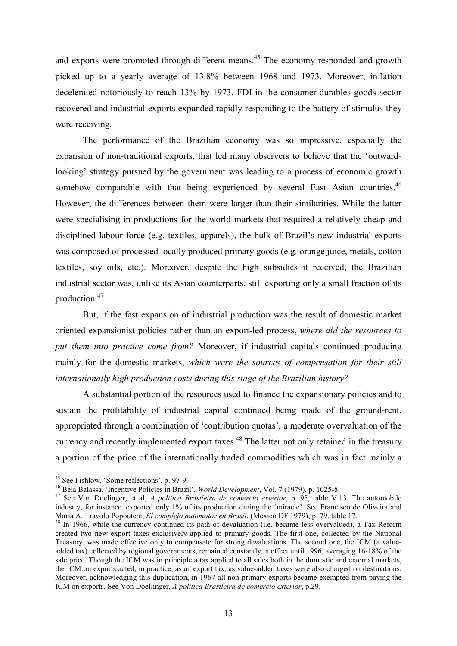and exports were promoted through different means.<sup>45</sup> The economy responded and growth picked up to a yearly average of 13.8% between 1968 and 1973. Moreover, inflation decelerated notoriously to reach 13% by 1973, FDI in the consumer-durables goods sector recovered and industrial exports expanded rapidly responding to the battery of stimulus they were receiving.

 The performance of the Brazilian economy was so impressive, especially the expansion of non-traditional exports, that led many observers to believe that the 'outwardlooking' strategy pursued by the government was leading to a process of economic growth somehow comparable with that being experienced by several East Asian countries.<sup>46</sup> However, the differences between them were larger than their similarities. While the latter were specialising in productions for the world markets that required a relatively cheap and disciplined labour force (e.g. textiles, apparels), the bulk of Brazil's new industrial exports was composed of processed locally produced primary goods (e.g. orange juice, metals, cotton textiles, soy oils, etc.). Moreover, despite the high subsidies it received, the Brazilian industrial sector was, unlike its Asian counterparts, still exporting only a small fraction of its production.<sup>47</sup>

But, if the fast expansion of industrial production was the result of domestic market oriented expansionist policies rather than an export-led process, *where did the resources to put them into practice come from?* Moreover, if industrial capitals continued producing mainly for the domestic markets, *which were the sources of compensation for their still internationally high production costs during this stage of the Brazilian history?* 

A substantial portion of the resources used to finance the expansionary policies and to sustain the profitability of industrial capital continued being made of the ground-rent, appropriated through a combination of 'contribution quotas', a moderate overvaluation of the currency and recently implemented export taxes.<sup>48</sup> The latter not only retained in the treasury a portion of the price of the internationally traded commodities which was in fact mainly a

<u>.</u>

<sup>45</sup> See Fishlow, 'Some reflections', p. 97-9.

<sup>46</sup> Bela Balassa, 'Incentive Policies in Brazil', *World Development*, Vol. 7 (1979), p. 1025-8.

<sup>47</sup> See Von Doelinger, et al, *A politica Brasileira de comercio exterior*, p. 95, table V.13. The automobile industry, for instance, exported only 1% of its production during the 'miracle'. See Francisco de Oliveira and Maria A. Travolo Popoutchi, *El complejo automotor en Brasil*, (Mexico DF 1979), p. 79, table 17.

<sup>&</sup>lt;sup>48</sup> In 1966, while the currency continued its path of devaluation (i.e. became less overvalued), a Tax Reform created two new export taxes exclusively applied to primary goods. The first one, collected by the National Treasury, was made effective only to compensate for strong devaluations. The second one, the ICM (a valueadded tax) collected by regional governments, remained constantly in effect until 1996, averaging 16-18% of the sale price. Though the ICM was in principle a tax applied to all sales both in the domestic and external markets, the ICM on exports acted, in practice, as an export tax, as value-added taxes were also charged on destinations. Moreover, acknowledging this duplication, in 1967 all non-primary exports became exempted from paying the ICM on exports. See Von Doellinger, *A politica Brasileira de comercio exterior*, p.29.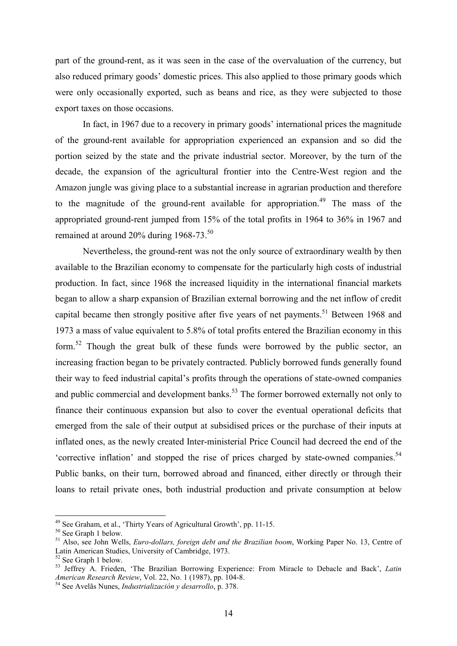part of the ground-rent, as it was seen in the case of the overvaluation of the currency, but also reduced primary goods' domestic prices. This also applied to those primary goods which were only occasionally exported, such as beans and rice, as they were subjected to those export taxes on those occasions.

In fact, in 1967 due to a recovery in primary goods' international prices the magnitude of the ground-rent available for appropriation experienced an expansion and so did the portion seized by the state and the private industrial sector. Moreover, by the turn of the decade, the expansion of the agricultural frontier into the Centre-West region and the Amazon jungle was giving place to a substantial increase in agrarian production and therefore to the magnitude of the ground-rent available for appropriation.<sup>49</sup> The mass of the appropriated ground-rent jumped from 15% of the total profits in 1964 to 36% in 1967 and remained at around 20% during 1968-73.<sup>50</sup>

 Nevertheless, the ground-rent was not the only source of extraordinary wealth by then available to the Brazilian economy to compensate for the particularly high costs of industrial production. In fact, since 1968 the increased liquidity in the international financial markets began to allow a sharp expansion of Brazilian external borrowing and the net inflow of credit capital became then strongly positive after five years of net payments.<sup>51</sup> Between 1968 and 1973 a mass of value equivalent to 5.8% of total profits entered the Brazilian economy in this form.<sup>52</sup> Though the great bulk of these funds were borrowed by the public sector, an increasing fraction began to be privately contracted. Publicly borrowed funds generally found their way to feed industrial capital's profits through the operations of state-owned companies and public commercial and development banks.<sup>53</sup> The former borrowed externally not only to finance their continuous expansion but also to cover the eventual operational deficits that emerged from the sale of their output at subsidised prices or the purchase of their inputs at inflated ones, as the newly created Inter-ministerial Price Council had decreed the end of the 'corrective inflation' and stopped the rise of prices charged by state-owned companies.<sup>54</sup> Public banks, on their turn, borrowed abroad and financed, either directly or through their loans to retail private ones, both industrial production and private consumption at below

<sup>&</sup>lt;sup>49</sup> See Graham, et al., 'Thirty Years of Agricultural Growth', pp. 11-15.

<sup>50</sup> See Graph 1 below.

<sup>51</sup> Also, see John Wells, *Euro-dollars, foreign debt and the Brazilian boom*, Working Paper No. 13, Centre of Latin American Studies, University of Cambridge, 1973.

<sup>52</sup> See Graph 1 below.

<sup>53</sup> Jeffrey A. Frieden, 'The Brazilian Borrowing Experience: From Miracle to Debacle and Back', *Latin American Research Review*, Vol. 22, No. 1 (1987), pp. 104-8.

<sup>54</sup> See Avelãs Nunes, *Industrialización y desarrollo*, p. 378.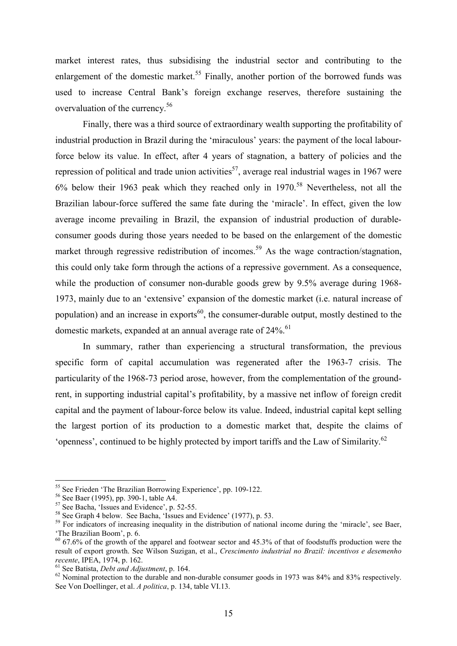market interest rates, thus subsidising the industrial sector and contributing to the enlargement of the domestic market.<sup>55</sup> Finally, another portion of the borrowed funds was used to increase Central Bank's foreign exchange reserves, therefore sustaining the overvaluation of the currency.<sup>56</sup>

Finally, there was a third source of extraordinary wealth supporting the profitability of industrial production in Brazil during the 'miraculous' years: the payment of the local labourforce below its value. In effect, after 4 years of stagnation, a battery of policies and the repression of political and trade union activities<sup>57</sup>, average real industrial wages in 1967 were 6% below their 1963 peak which they reached only in 1970.<sup>58</sup> Nevertheless, not all the Brazilian labour-force suffered the same fate during the 'miracle'. In effect, given the low average income prevailing in Brazil, the expansion of industrial production of durableconsumer goods during those years needed to be based on the enlargement of the domestic market through regressive redistribution of incomes.<sup>59</sup> As the wage contraction/stagnation, this could only take form through the actions of a repressive government. As a consequence, while the production of consumer non-durable goods grew by 9.5% average during 1968-1973, mainly due to an 'extensive' expansion of the domestic market (i.e. natural increase of population) and an increase in exports $^{60}$ , the consumer-durable output, mostly destined to the domestic markets, expanded at an annual average rate of  $24\%$ .<sup>61</sup>

 In summary, rather than experiencing a structural transformation, the previous specific form of capital accumulation was regenerated after the 1963-7 crisis. The particularity of the 1968-73 period arose, however, from the complementation of the groundrent, in supporting industrial capital's profitability, by a massive net inflow of foreign credit capital and the payment of labour-force below its value. Indeed, industrial capital kept selling the largest portion of its production to a domestic market that, despite the claims of 'openness', continued to be highly protected by import tariffs and the Law of Similarity.<sup>62</sup>

<sup>&</sup>lt;sup>55</sup> See Frieden 'The Brazilian Borrowing Experience', pp. 109-122.

<sup>56</sup> See Baer (1995), pp. 390-1, table A4.

<sup>57</sup> See Bacha, 'Issues and Evidence', p. 52-55.

<sup>58</sup> See Graph 4 below. See Bacha, 'Issues and Evidence' (1977), p. 53.

<sup>&</sup>lt;sup>59</sup> For indicators of increasing inequality in the distribution of national income during the 'miracle', see Baer, 'The Brazilian Boom', p. 6.

 $60\,67.6\%$  of the growth of the apparel and footwear sector and 45.3% of that of foodstuffs production were the result of export growth. See Wilson Suzigan, et al., *Crescimento industrial no Brazil: incentivos e desemenho recente*, IPEA, 1974, p. 162.

<sup>61</sup> See Batista, *Debt and Adjustment*, p. 164.

<sup>&</sup>lt;sup>62</sup> Nominal protection to the durable and non-durable consumer goods in 1973 was 84% and 83% respectively. See Von Doellinger, et al. *A politica*, p. 134, table VI.13.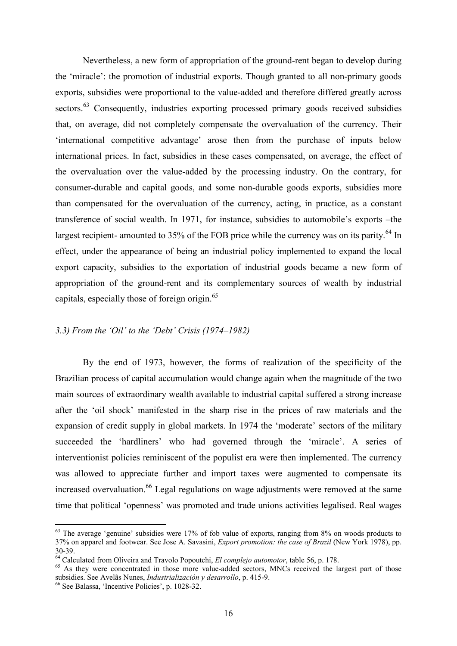Nevertheless, a new form of appropriation of the ground-rent began to develop during the 'miracle': the promotion of industrial exports. Though granted to all non-primary goods exports, subsidies were proportional to the value-added and therefore differed greatly across sectors.<sup>63</sup> Consequently, industries exporting processed primary goods received subsidies that, on average, did not completely compensate the overvaluation of the currency. Their 'international competitive advantage' arose then from the purchase of inputs below international prices. In fact, subsidies in these cases compensated, on average, the effect of the overvaluation over the value-added by the processing industry. On the contrary, for consumer-durable and capital goods, and some non-durable goods exports, subsidies more than compensated for the overvaluation of the currency, acting, in practice, as a constant transference of social wealth. In 1971, for instance, subsidies to automobile's exports –the largest recipient- amounted to  $35\%$  of the FOB price while the currency was on its parity.<sup>64</sup> In effect, under the appearance of being an industrial policy implemented to expand the local export capacity, subsidies to the exportation of industrial goods became a new form of appropriation of the ground-rent and its complementary sources of wealth by industrial capitals, especially those of foreign origin.<sup>65</sup>

### *3.3) From the 'Oil' to the 'Debt' Crisis (1974–1982)*

 By the end of 1973, however, the forms of realization of the specificity of the Brazilian process of capital accumulation would change again when the magnitude of the two main sources of extraordinary wealth available to industrial capital suffered a strong increase after the 'oil shock' manifested in the sharp rise in the prices of raw materials and the expansion of credit supply in global markets. In 1974 the 'moderate' sectors of the military succeeded the 'hardliners' who had governed through the 'miracle'. A series of interventionist policies reminiscent of the populist era were then implemented. The currency was allowed to appreciate further and import taxes were augmented to compensate its increased overvaluation.<sup>66</sup> Legal regulations on wage adjustments were removed at the same time that political 'openness' was promoted and trade unions activities legalised. Real wages

<u>.</u>

 $63$  The average 'genuine' subsidies were 17% of fob value of exports, ranging from  $8\%$  on woods products to 37% on apparel and footwear. See Jose A. Savasini, *Export promotion: the case of Brazil* (New York 1978), pp. 30-39.

<sup>64</sup> Calculated from Oliveira and Travolo Popoutchi, *El complejo automotor*, table 56, p. 178.

<sup>&</sup>lt;sup>65</sup> As they were concentrated in those more value-added sectors, MNCs received the largest part of those subsidies. See Avelãs Nunes, *Industrialización y desarrollo*, p. 415-9.

<sup>66</sup> See Balassa, 'Incentive Policies', p. 1028-32.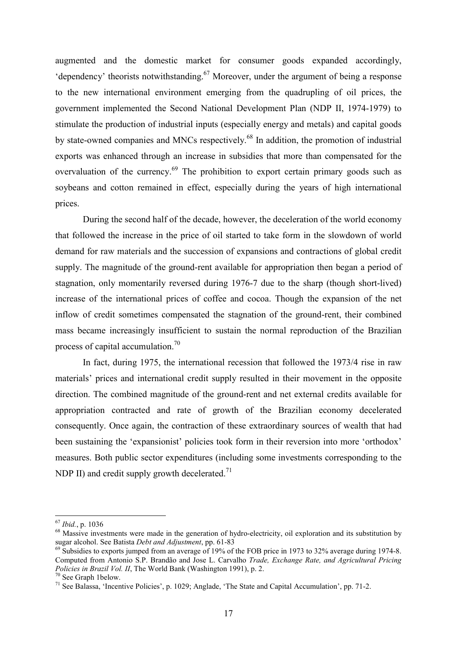augmented and the domestic market for consumer goods expanded accordingly, 'dependency' theorists notwithstanding. $67$  Moreover, under the argument of being a response to the new international environment emerging from the quadrupling of oil prices, the government implemented the Second National Development Plan (NDP II, 1974-1979) to stimulate the production of industrial inputs (especially energy and metals) and capital goods by state-owned companies and MNCs respectively.<sup>68</sup> In addition, the promotion of industrial exports was enhanced through an increase in subsidies that more than compensated for the overvaluation of the currency.<sup>69</sup> The prohibition to export certain primary goods such as soybeans and cotton remained in effect, especially during the years of high international prices.

 During the second half of the decade, however, the deceleration of the world economy that followed the increase in the price of oil started to take form in the slowdown of world demand for raw materials and the succession of expansions and contractions of global credit supply. The magnitude of the ground-rent available for appropriation then began a period of stagnation, only momentarily reversed during 1976-7 due to the sharp (though short-lived) increase of the international prices of coffee and cocoa. Though the expansion of the net inflow of credit sometimes compensated the stagnation of the ground-rent, their combined mass became increasingly insufficient to sustain the normal reproduction of the Brazilian process of capital accumulation.<sup>70</sup>

 In fact, during 1975, the international recession that followed the 1973/4 rise in raw materials' prices and international credit supply resulted in their movement in the opposite direction. The combined magnitude of the ground-rent and net external credits available for appropriation contracted and rate of growth of the Brazilian economy decelerated consequently. Once again, the contraction of these extraordinary sources of wealth that had been sustaining the 'expansionist' policies took form in their reversion into more 'orthodox' measures. Both public sector expenditures (including some investments corresponding to the NDP II) and credit supply growth decelerated.<sup>71</sup>

<sup>67</sup> *Ibid.*, p. 1036

<sup>&</sup>lt;sup>68</sup> Massive investments were made in the generation of hydro-electricity, oil exploration and its substitution by sugar alcohol. See Batista *Debt and Adjustment*, pp. 61-83

<sup>&</sup>lt;sup>69</sup> Subsidies to exports jumped from an average of 19% of the FOB price in 1973 to 32% average during 1974-8. Computed from Antonio S.P. Brandão and Jose L. Carvalho *Trade, Exchange Rate, and Agricultural Pricing Policies in Brazil Vol. II*, The World Bank (Washington 1991), p. 2.

<sup>70</sup> See Graph 1below.

<sup>71</sup> See Balassa, 'Incentive Policies', p. 1029; Anglade, 'The State and Capital Accumulation', pp. 71-2.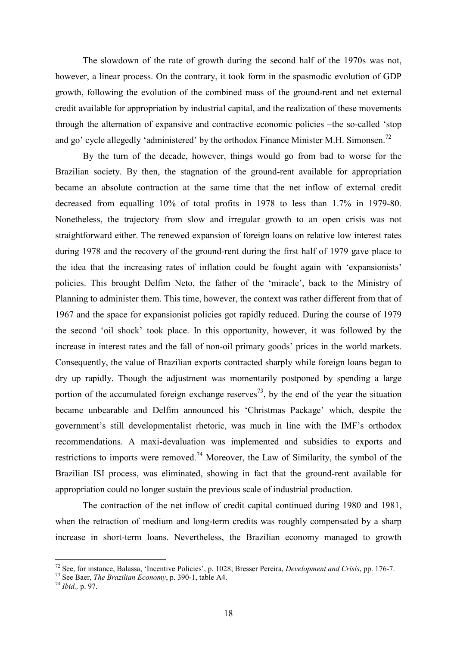The slowdown of the rate of growth during the second half of the 1970s was not, however, a linear process. On the contrary, it took form in the spasmodic evolution of GDP growth, following the evolution of the combined mass of the ground-rent and net external credit available for appropriation by industrial capital, and the realization of these movements through the alternation of expansive and contractive economic policies –the so-called 'stop and go' cycle allegedly 'administered' by the orthodox Finance Minister M.H. Simonsen.<sup>72</sup>

 By the turn of the decade, however, things would go from bad to worse for the Brazilian society. By then, the stagnation of the ground-rent available for appropriation became an absolute contraction at the same time that the net inflow of external credit decreased from equalling 10% of total profits in 1978 to less than 1.7% in 1979-80. Nonetheless, the trajectory from slow and irregular growth to an open crisis was not straightforward either. The renewed expansion of foreign loans on relative low interest rates during 1978 and the recovery of the ground-rent during the first half of 1979 gave place to the idea that the increasing rates of inflation could be fought again with 'expansionists' policies. This brought Delfim Neto, the father of the 'miracle', back to the Ministry of Planning to administer them. This time, however, the context was rather different from that of 1967 and the space for expansionist policies got rapidly reduced. During the course of 1979 the second 'oil shock' took place. In this opportunity, however, it was followed by the increase in interest rates and the fall of non-oil primary goods' prices in the world markets. Consequently, the value of Brazilian exports contracted sharply while foreign loans began to dry up rapidly. Though the adjustment was momentarily postponed by spending a large portion of the accumulated foreign exchange reserves<sup> $73$ </sup>, by the end of the year the situation became unbearable and Delfim announced his 'Christmas Package' which, despite the government's still developmentalist rhetoric, was much in line with the IMF's orthodox recommendations. A maxi-devaluation was implemented and subsidies to exports and restrictions to imports were removed.<sup>74</sup> Moreover, the Law of Similarity, the symbol of the Brazilian ISI process, was eliminated, showing in fact that the ground-rent available for appropriation could no longer sustain the previous scale of industrial production.

 The contraction of the net inflow of credit capital continued during 1980 and 1981, when the retraction of medium and long-term credits was roughly compensated by a sharp increase in short-term loans. Nevertheless, the Brazilian economy managed to growth

<sup>72</sup> See, for instance, Balassa, 'Incentive Policies', p. 1028; Bresser Pereira, *Development and Crisis*, pp. 176-7.

<sup>73</sup> See Baer, *The Brazilian Economy*, p. 390-1, table A4.

<sup>74</sup> *Ibid.,* p. 97.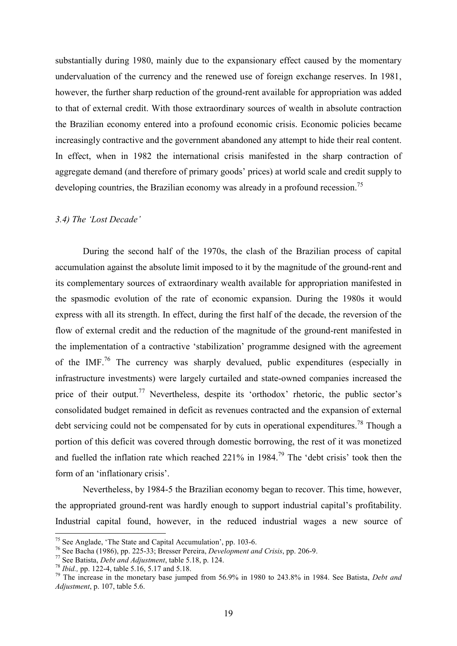substantially during 1980, mainly due to the expansionary effect caused by the momentary undervaluation of the currency and the renewed use of foreign exchange reserves. In 1981, however, the further sharp reduction of the ground-rent available for appropriation was added to that of external credit. With those extraordinary sources of wealth in absolute contraction the Brazilian economy entered into a profound economic crisis. Economic policies became increasingly contractive and the government abandoned any attempt to hide their real content. In effect, when in 1982 the international crisis manifested in the sharp contraction of aggregate demand (and therefore of primary goods' prices) at world scale and credit supply to developing countries, the Brazilian economy was already in a profound recession.<sup>75</sup>

## *3.4) The 'Lost Decade'*

 During the second half of the 1970s, the clash of the Brazilian process of capital accumulation against the absolute limit imposed to it by the magnitude of the ground-rent and its complementary sources of extraordinary wealth available for appropriation manifested in the spasmodic evolution of the rate of economic expansion. During the 1980s it would express with all its strength. In effect, during the first half of the decade, the reversion of the flow of external credit and the reduction of the magnitude of the ground-rent manifested in the implementation of a contractive 'stabilization' programme designed with the agreement of the IMF.<sup>76</sup> The currency was sharply devalued, public expenditures (especially in infrastructure investments) were largely curtailed and state-owned companies increased the price of their output.<sup>77</sup> Nevertheless, despite its 'orthodox' rhetoric, the public sector's consolidated budget remained in deficit as revenues contracted and the expansion of external debt servicing could not be compensated for by cuts in operational expenditures.<sup>78</sup> Though a portion of this deficit was covered through domestic borrowing, the rest of it was monetized and fuelled the inflation rate which reached  $221\%$  in 1984.<sup>79</sup> The 'debt crisis' took then the form of an 'inflationary crisis'.

 Nevertheless, by 1984-5 the Brazilian economy began to recover. This time, however, the appropriated ground-rent was hardly enough to support industrial capital's profitability. Industrial capital found, however, in the reduced industrial wages a new source of

<u>.</u>

<sup>&</sup>lt;sup>75</sup> See Anglade, 'The State and Capital Accumulation', pp. 103-6.

<sup>76</sup> See Bacha (1986), pp. 225-33; Bresser Pereira, *Development and Crisis*, pp. 206-9.

<sup>77</sup> See Batista, *Debt and Adjustment*, table 5.18, p. 124.

<sup>78</sup> *Ibid.,* pp. 122-4, table 5.16, 5.17 and 5.18.

<sup>79</sup> The increase in the monetary base jumped from 56.9% in 1980 to 243.8% in 1984. See Batista, *Debt and Adjustment*, p. 107, table 5.6.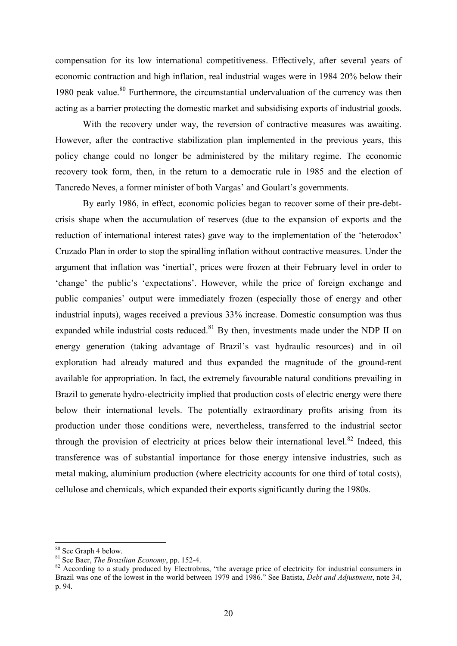compensation for its low international competitiveness. Effectively, after several years of economic contraction and high inflation, real industrial wages were in 1984 20% below their 1980 peak value.<sup>80</sup> Furthermore, the circumstantial undervaluation of the currency was then acting as a barrier protecting the domestic market and subsidising exports of industrial goods.

 With the recovery under way, the reversion of contractive measures was awaiting. However, after the contractive stabilization plan implemented in the previous years, this policy change could no longer be administered by the military regime. The economic recovery took form, then, in the return to a democratic rule in 1985 and the election of Tancredo Neves, a former minister of both Vargas' and Goulart's governments.

 By early 1986, in effect, economic policies began to recover some of their pre-debtcrisis shape when the accumulation of reserves (due to the expansion of exports and the reduction of international interest rates) gave way to the implementation of the 'heterodox' Cruzado Plan in order to stop the spiralling inflation without contractive measures. Under the argument that inflation was 'inertial', prices were frozen at their February level in order to 'change' the public's 'expectations'. However, while the price of foreign exchange and public companies' output were immediately frozen (especially those of energy and other industrial inputs), wages received a previous 33% increase. Domestic consumption was thus expanded while industrial costs reduced. $81$  By then, investments made under the NDP II on energy generation (taking advantage of Brazil's vast hydraulic resources) and in oil exploration had already matured and thus expanded the magnitude of the ground-rent available for appropriation. In fact, the extremely favourable natural conditions prevailing in Brazil to generate hydro-electricity implied that production costs of electric energy were there below their international levels. The potentially extraordinary profits arising from its production under those conditions were, nevertheless, transferred to the industrial sector through the provision of electricity at prices below their international level.<sup>82</sup> Indeed, this transference was of substantial importance for those energy intensive industries, such as metal making, aluminium production (where electricity accounts for one third of total costs), cellulose and chemicals, which expanded their exports significantly during the 1980s.

<sup>80</sup> See Graph 4 below.

<sup>81</sup> See Baer, *The Brazilian Economy*, pp. 152-4.

<sup>&</sup>lt;sup>82</sup> According to a study produced by Electrobras, "the average price of electricity for industrial consumers in Brazil was one of the lowest in the world between 1979 and 1986." See Batista, *Debt and Adjustment*, note 34, p. 94.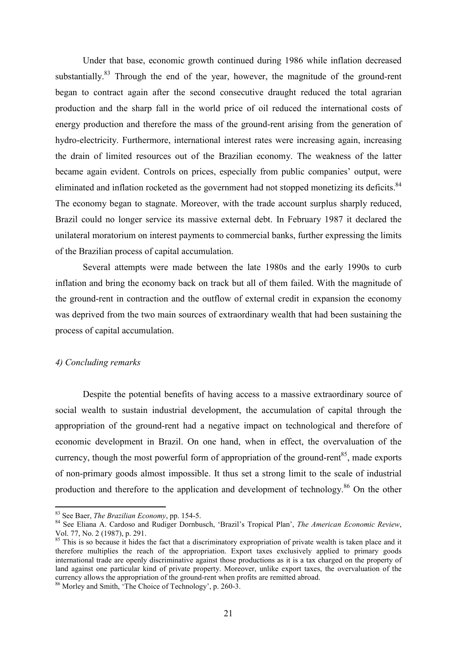Under that base, economic growth continued during 1986 while inflation decreased substantially.<sup>83</sup> Through the end of the year, however, the magnitude of the ground-rent began to contract again after the second consecutive draught reduced the total agrarian production and the sharp fall in the world price of oil reduced the international costs of energy production and therefore the mass of the ground-rent arising from the generation of hydro-electricity. Furthermore, international interest rates were increasing again, increasing the drain of limited resources out of the Brazilian economy. The weakness of the latter became again evident. Controls on prices, especially from public companies' output, were eliminated and inflation rocketed as the government had not stopped monetizing its deficits.<sup>84</sup> The economy began to stagnate. Moreover, with the trade account surplus sharply reduced, Brazil could no longer service its massive external debt. In February 1987 it declared the unilateral moratorium on interest payments to commercial banks, further expressing the limits of the Brazilian process of capital accumulation.

 Several attempts were made between the late 1980s and the early 1990s to curb inflation and bring the economy back on track but all of them failed. With the magnitude of the ground-rent in contraction and the outflow of external credit in expansion the economy was deprived from the two main sources of extraordinary wealth that had been sustaining the process of capital accumulation.

### *4) Concluding remarks*

-

 Despite the potential benefits of having access to a massive extraordinary source of social wealth to sustain industrial development, the accumulation of capital through the appropriation of the ground-rent had a negative impact on technological and therefore of economic development in Brazil. On one hand, when in effect, the overvaluation of the currency, though the most powerful form of appropriation of the ground-rent<sup>85</sup>, made exports of non-primary goods almost impossible. It thus set a strong limit to the scale of industrial production and therefore to the application and development of technology.<sup>86</sup> On the other

<sup>83</sup> See Baer, *The Brazilian Economy*, pp. 154-5.

<sup>84</sup> See Eliana A. Cardoso and Rudiger Dornbusch, 'Brazil's Tropical Plan', *The American Economic Review*, Vol. 77, No. 2 (1987), p. 291.

 $85$  This is so because it hides the fact that a discriminatory expropriation of private wealth is taken place and it therefore multiplies the reach of the appropriation. Export taxes exclusively applied to primary goods international trade are openly discriminative against those productions as it is a tax charged on the property of land against one particular kind of private property. Moreover, unlike export taxes, the overvaluation of the currency allows the appropriation of the ground-rent when profits are remitted abroad.

<sup>86</sup> Morley and Smith, 'The Choice of Technology', p. 260-3.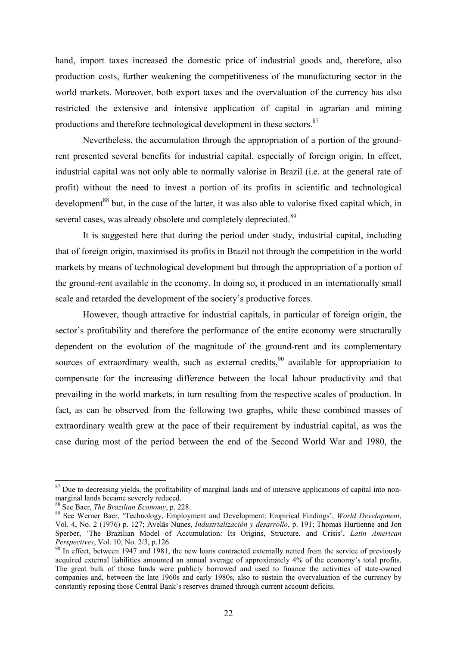hand, import taxes increased the domestic price of industrial goods and, therefore, also production costs, further weakening the competitiveness of the manufacturing sector in the world markets. Moreover, both export taxes and the overvaluation of the currency has also restricted the extensive and intensive application of capital in agrarian and mining productions and therefore technological development in these sectors.<sup>87</sup>

 Nevertheless, the accumulation through the appropriation of a portion of the groundrent presented several benefits for industrial capital, especially of foreign origin. In effect, industrial capital was not only able to normally valorise in Brazil (i.e. at the general rate of profit) without the need to invest a portion of its profits in scientific and technological development<sup>88</sup> but, in the case of the latter, it was also able to valorise fixed capital which, in several cases, was already obsolete and completely depreciated.<sup>89</sup>

 It is suggested here that during the period under study, industrial capital, including that of foreign origin, maximised its profits in Brazil not through the competition in the world markets by means of technological development but through the appropriation of a portion of the ground-rent available in the economy. In doing so, it produced in an internationally small scale and retarded the development of the society's productive forces.

However, though attractive for industrial capitals, in particular of foreign origin, the sector's profitability and therefore the performance of the entire economy were structurally dependent on the evolution of the magnitude of the ground-rent and its complementary sources of extraordinary wealth, such as external credits,  $90$  available for appropriation to compensate for the increasing difference between the local labour productivity and that prevailing in the world markets, in turn resulting from the respective scales of production. In fact, as can be observed from the following two graphs, while these combined masses of extraordinary wealth grew at the pace of their requirement by industrial capital, as was the case during most of the period between the end of the Second World War and 1980, the

<sup>&</sup>lt;sup>87</sup> Due to decreasing yields, the profitability of marginal lands and of intensive applications of capital into nonmarginal lands became severely reduced.

<sup>88</sup> See Baer, *The Brazilian Economy*, p. 228.

<sup>89</sup> See Werner Baer, 'Technology, Employment and Development: Empirical Findings', *World Development*, Vol. 4, No. 2 (1976) p. 127; Avelãs Nunes, *Industrialización y desarrollo*, p. 191; Thomas Hurtienne and Jon Sperber, 'The Brazilian Model of Accumulation: Its Origins, Structure, and Crisis', *Latin American Perspectives*, Vol. 10, No. 2/3, p.126.

<sup>&</sup>lt;sup>90</sup> In effect, between 1947 and 1981, the new loans contracted externally netted from the service of previously acquired external liabilities amounted an annual average of approximately 4% of the economy's total profits. The great bulk of those funds were publicly borrowed and used to finance the activities of state-owned companies and, between the late 1960s and early 1980s, also to sustain the overvaluation of the currency by constantly reposing those Central Bank's reserves drained through current account deficits.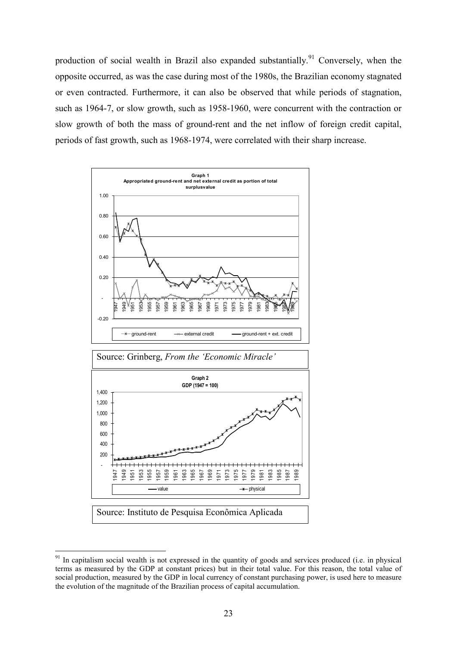production of social wealth in Brazil also expanded substantially.<sup>91</sup> Conversely, when the opposite occurred, as was the case during most of the 1980s, the Brazilian economy stagnated or even contracted. Furthermore, it can also be observed that while periods of stagnation, such as 1964-7, or slow growth, such as 1958-1960, were concurrent with the contraction or slow growth of both the mass of ground-rent and the net inflow of foreign credit capital, periods of fast growth, such as 1968-1974, were correlated with their sharp increase.





 In capitalism social wealth is not expressed in the quantity of goods and services produced (i.e. in physical terms as measured by the GDP at constant prices) but in their total value. For this reason, the total value of social production, measured by the GDP in local currency of constant purchasing power, is used here to measure the evolution of the magnitude of the Brazilian process of capital accumulation.